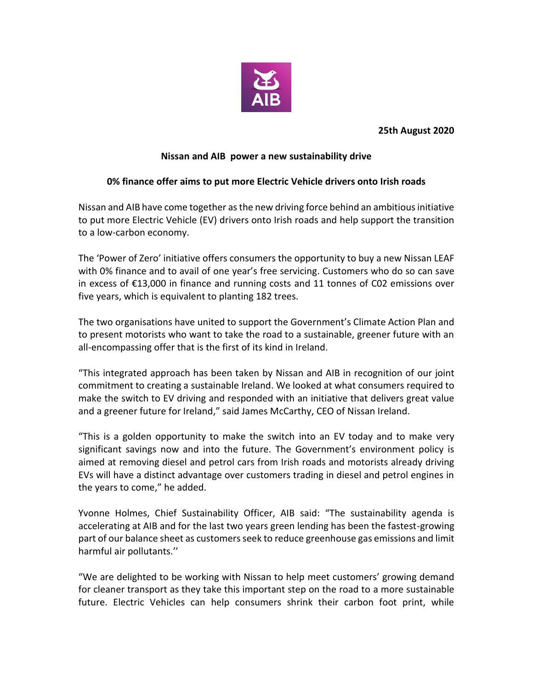

**25th August 2020**

## **Nissan and AIB power a new sustainability drive**

## **0% finance offer aims to put more Electric Vehicle drivers onto Irish roads**

Nissan and AIB have come together as the new driving force behind an ambitious initiative to put more Electric Vehicle (EV) drivers onto Irish roads and help support the transition to a low-carbon economy.

The 'Power of Zero' initiative offers consumers the opportunity to buy a new Nissan LEAF with 0% finance and to avail of one year's free servicing. Customers who do so can save in excess of €13,000 in finance and running costs and 11 tonnes of C02 emissions over five years, which is equivalent to planting 182 trees.

The two organisations have united to support the Government's Climate Action Plan and to present motorists who want to take the road to a sustainable, greener future with an all-encompassing offer that is the first of its kind in Ireland.

"This integrated approach has been taken by Nissan and AIB in recognition of our joint commitment to creating a sustainable Ireland. We looked at what consumers required to make the switch to EV driving and responded with an initiative that delivers great value and a greener future for Ireland," said James McCarthy, CEO of Nissan Ireland.

"This is a golden opportunity to make the switch into an EV today and to make very significant savings now and into the future. The Government's environment policy is aimed at removing diesel and petrol cars from Irish roads and motorists already driving EVs will have a distinct advantage over customers trading in diesel and petrol engines in the years to come," he added.

Yvonne Holmes, Chief Sustainability Officer, AIB said: "The sustainability agenda is accelerating at AIB and for the last two years green lending has been the fastest-growing part of our balance sheet as customers seek to reduce greenhouse gas emissions and limit harmful air pollutants.''

"We are delighted to be working with Nissan to help meet customers' growing demand for cleaner transport as they take this important step on the road to a more sustainable future. Electric Vehicles can help consumers shrink their carbon foot print, while